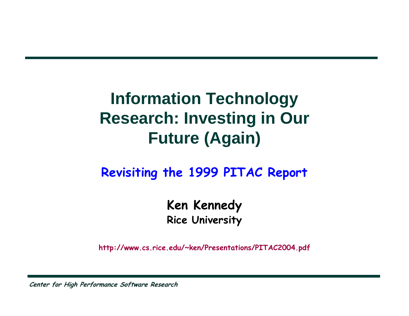#### **Information Technology Research: Investing in Our Future (Again)**

#### **Revisiting the 1999 PITAC Report**

**Ken Kennedy Rice University**

**http://www.cs.rice.edu/~ken/Pres entations/PITAC2004.pdf**

**Center for High Performance Software Research**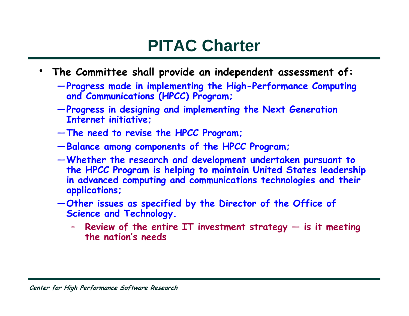#### **PITAC Charter**

- **The Committee shall provide an independent assessment of:**
	- —**Progress made in implementing the High-Performance Computing and Communications (HPCC) Progr am;**
	- —**Progress in designing and implementing the Nex t Generation Internet initiative;**
	- —**The need to revise the HPCC Program;**
	- —**Balance among components of the HPCC Program;**
	- —**Whether the research and development undertaken pursuant to the HPCC Program is helping to maintain United States leadership in advanced computing and communications technologies and their applications;**
	- —**Other issues as specified by the Director of the Office of Science and Technology.**
		- **Review of the entire IT investment strategy — is it meeting the nation's nee ds**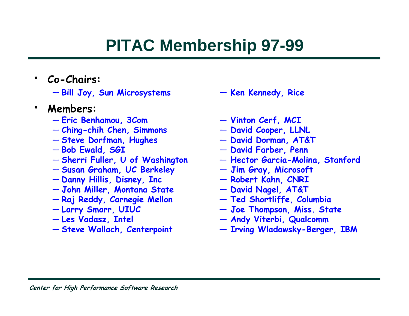## **PITAC Membership 97-99**

- **Co-Chairs:**
	- **Bill Joy, Sun Microsystems**
- • **Members:**
	- **Eric Benhamou, 3Com**
	- **Ching-chih Chen, Simmo n s**
	- **Steve Dorfman, Hughes**
	- **Bob Ewald, SGI**
	- **Sherri Fuller, U of Washing ton**
	- **Susan Graham, UC Berkeley**
	- **Danny Hillis, Disney, Inc**
	- **John Miller, M ontana State**
	- **Raj Reddy, Carnegie Mellon**
	- **Larry Smarr, UIUC**
	- **Les Vadasz, Intel**
	- **Steve Wallach, Centerpoint**
- **— Ken Kennedy, Rice**
- **— Vinton Cerf, MCI**
- **— David Coo p e r, LLNL**
- **— D a vid Dorman, AT&T**
- **— David Farber, Penn**
- **—Hector Garcia-Moli na, Stanford**
- **— Jim Gray, Microso f t**
- **— Robert Kahn, CNRI**
- **— David Nagel, AT&T**
- **— Ted Shortliffe, Columbia**
- **— Joe Tho m pson, Miss. State**
- **— Andy Viterbi, Qualcom m**
- **— Irving Wladawsky-Berger, IBM**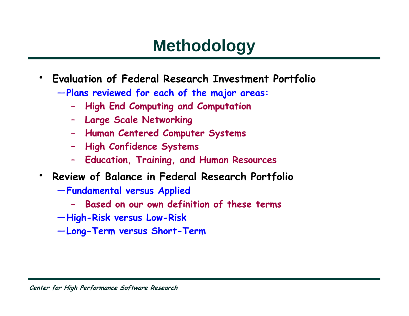### **Methodology**

- • **Evaluation of Federal Research Investment Portfolio**
	- —**Plans reviewed for each of the major areas:**
		- **High End Computing and Computation**
		- **Large Scale Networking**
		- **Human Centered Computer Systems**
		- **High Confidence Systems**
		- $\rightarrow$ **Education, Training, and Human Resources**
- • **Review of Balance in Federal Research Portfolio**
	- —**Fundamental versus Applied**
		- –**Based on our own definition of these terms**
	- —**High-Risk versus Low-Risk**
	- —**Long-Term versus Short-Term**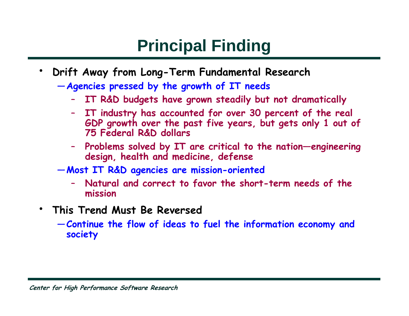# **Principal Finding**

- • **Drift Away from Long-Term Fundamental Research**
	- —**Agencies pressed by the growth of IT needs**
		- **IT R&D budgets have grown steadily but not dramatically**
		- – **IT industry has accounted for over 30 percent of the real GDP gro wth o ver the past five years, but gets only 1 out of 75 Federal R&D dollars**
		- **Problems solved by IT are critical to the nation—engineering design, health and medicine, defense**
	- —**Most IT R&D agencies are mission-oriented**
		- **Natural and correct to favor the short-term nee ds of the mission**
- • **This Trend Must Be Reversed**
	- —**Continue the flow of ideas to fuel the information economy and society**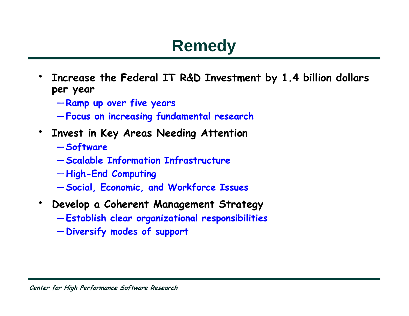### **Remedy**

- • **Increase the Federal IT R&D Investment by 1.4 billion dollars per year**
	- —**Ramp up over five years**
	- —**Focus on increasing fundamental research**
- • **Invest in Key Areas Needing Attention**
	- —**Softw are**
	- —**Scalable Information Infrastructure**
	- —**High-End Computing**
	- —**Social, Economic, and Workforce Issues**
- • **Develop a Coherent Management Strategy**
	- —**Establish clear organizational responsibilities**
	- —**Diversify modes of support**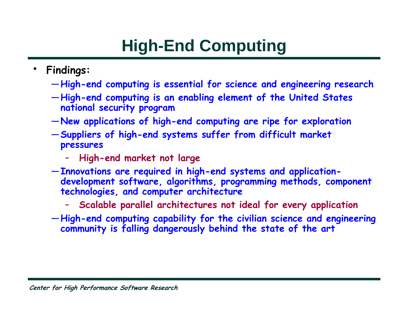# **High-End Computing**

- • **Findings:**
	- —**High-end computing is essential for science and engineering research**
	- —**High-end computing is an enabling element of t he United States national security program**
	- —**New applications of high-end computing are ripe for exploration**
	- —**Suppliers of high-end systems suffer from difficult market pressures**
		- –**High-end market not large**
	- —**Innovations are required in high-end systems and applicationdevelopment software, algorithms, programming methods, component technologies, and computer architecture**
		- –**Scalable parallel architectures not ideal for every application**
	- —**High-end computing capability for the civilian science and engineering community is falling dangerously behind the state of the art**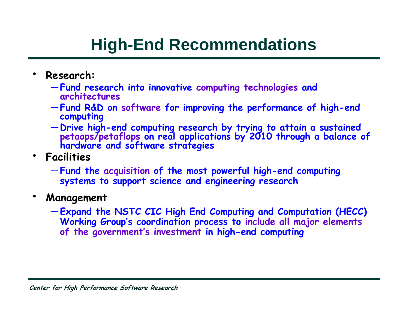### **High-End Recommendations**

- • **Research:**
	- —**Fund research into innovative computing technologies and architectures**
	- —**Fund R&D on software for improving the performance of high-end computing**
	- —**Drive high-end computing research by trying to attain a sustained petaops/petaflops on real applications by 2010 through a balance of hardware and software strategies**
- **Facilities**
	- —**Fund the acquisition of the most powerful high-end computing systems to support science and engineering research**
- • **Management**
	- —**Expand the NSTC CIC High End Computing and Computation (HECC) Working Group's coordination process to include all major elements of the government's investment in high-end computing**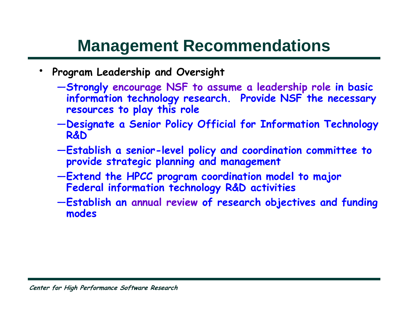#### **Management Recommendations**

- • **Program Leadership and Oversight**
	- —**Strongly encourage NSF to assume a leadership role in basic information technology research. Provide NSF the necessary resources to play this role**
	- —**Designate a Senior Policy Official for Information Technology R&D**
	- —**Establish a senior-level policy and coordination committee to provide strategic planning and management**
	- —**Extend the HPCC program coordination model to major Federal information technology R&D activities**
	- —**Establish an annual review of research objectives and funding modes**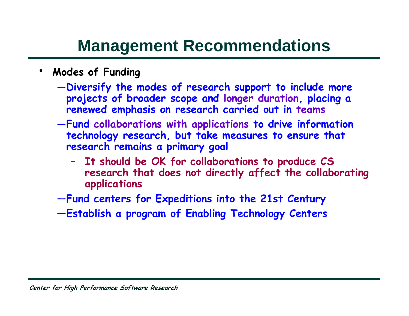#### **Management Recommendations**

- • **Modes of Funding**
	- —**Diversify the modes of research support to include more projects of broader scope and longer duration, placing a renewed emphasis on research carried out in teams**
	- —**Fund collaborations with applications to drive information technology research, but take measures to ensure that research remains a primary goal**
		- – **It should be OK for collaborations to produce CS research that does not directly affect the collaborating applications**
	- —**Fund centers for Expeditions into the 21st Century**
	- —**Establish a program of Enabling Technology Centers**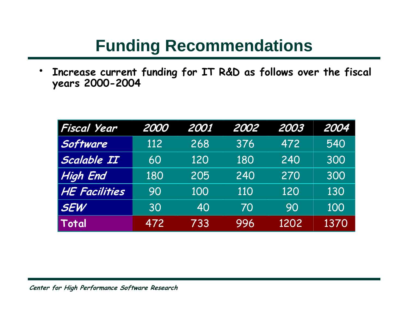#### **Funding Recommendations**

 $\bullet$  **Increase current funding for IT R&D as follows over the fiscal years 2000-2004**

| <b>Fiscal Year</b>   | 2000 | 2001 | 2002 | 2003 | 2004 |
|----------------------|------|------|------|------|------|
| Software             | 112  | 268  | 376  | 472  | 540  |
| Scalable II          | 60   | 120  | 180  | 240  | 300  |
| <b>High End</b>      | 180  | 205  | 240  | 270  | 300  |
| <b>HE Facilities</b> | 90   | 100  | 110  | 120  | 130  |
| <b>SEW</b>           | 30   | 40   | 70   | 90   | 100  |
| Total                | 472  | 733  | 996  | 1202 | 1370 |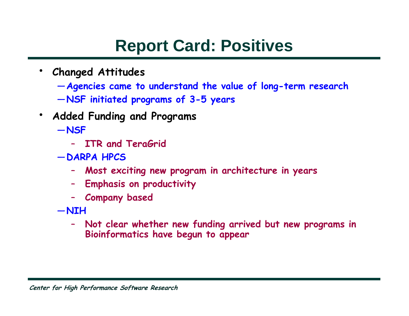#### **Report Card: Positives**

- • **Changed Attitudes**
	- —**Agencies came to understand the value of long-term research**
	- —**NSF initiated programs of 3-5 years**
- •**Added Funding and Programs**

—**NSF**

- **ITR and TeraGrid**
- —**DARPA HPCS**
	- **Most exciting new program in architecture in years**
	- **Empha sis on pro ductivity**
	- –**Company based**
- —**NIH**
	- – **Not clear whether new funding arrived but new programs in Bioinformatics have begun to appear**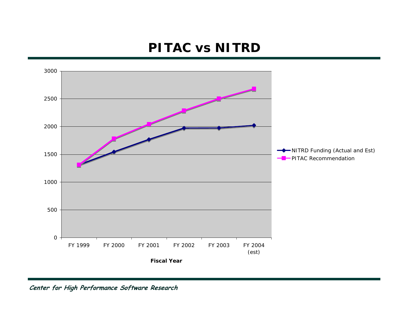#### **PITAC vs NITRD**



**Center for High Performance Software Research**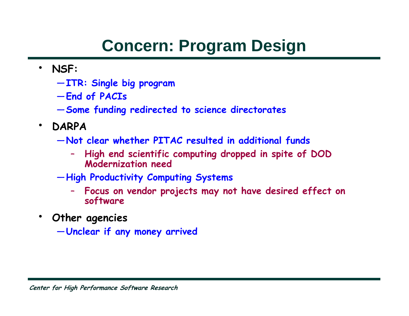## **Concern: Program Design**

- **NSF:**
	- —**ITR: Single big program**
	- —**End of PACIs**
	- —**Some funding redirected to science directorates**
- • **DARPA**
	- —**Not clear whether PITAC resulted in additional funds**
		- – **High end scientific computing dropped in spite of DOD Modernization need**
	- —**High Productivity Computing Systems**
		- – **Focus on vendor projects may not have desired effect on software**
- • **Other agencies**
	- —**Unclear if any money arrived**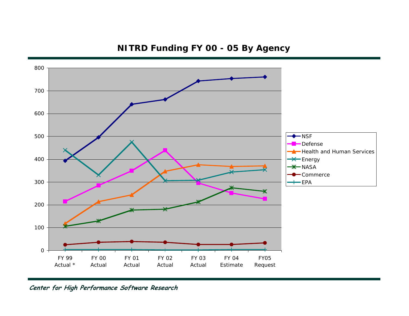#### **NITRD Funding FY 00 - 05 By Agency**



#### **Center for High Performance Software Research**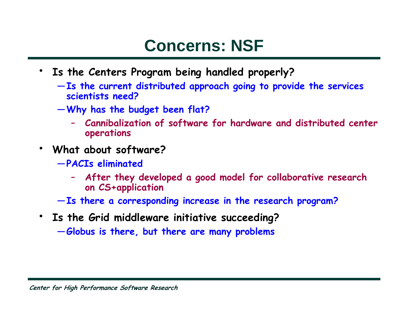#### **Concerns: NSF**

- **Is the Centers Program being handled properly?**
	- —**Is the current distributed approach going to provide the services scientists need?**
	- —**Why has the budget been flat?**
		- **Cannibalization of software for hardware and distributed center operations**
- • **What about software?**
	- —**PACIs eliminated**
		- **After the y developed a goo d model for collaborative research on CS+application**
	- —**Is there a corresponding increase in the research program?**
- **Is the Grid middleware initiative succeeding?**

—**Globus is there, but there are many problems**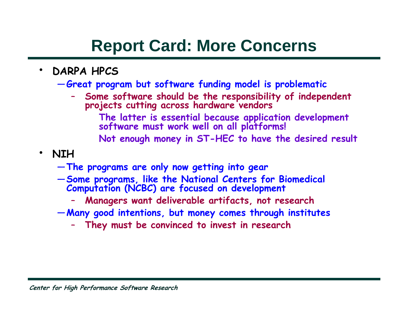#### **Report Card: More Concerns**

- • **DARPA HPCS**
	- —**Great program but software funding model is problematic**
		- – **Some software should be the responsibility of independent projects cutting across hardware vendors**
			- **The latter is essential because application development software must work well on all platforms!**
			- **Not enough money in ST-HEC to have the desired result**
- • **NIH**
	- —**The programs are only now getting int o gear**
	- —**Some programs, like the National Centers for Biomedical Computation (NCBC) are focused on development**
		- –**Managers want deliverable artifacts, not research**
	- —**Many good intentions, but money comes through institutes**
		- **They must be convinced to invest in research**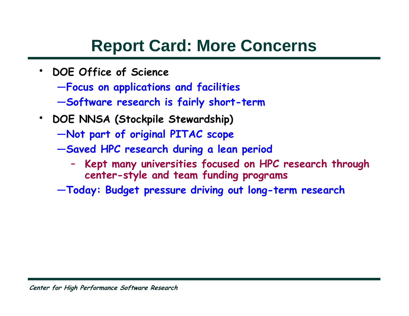#### **Report Card: More Concerns**

- • **DOE Office of Science**
	- —**Focus on applications and facilities**
	- —**Software research is fairly short-term**
- **DOE NNSA (Stockpile Stewardship)**
	- —**Not part of original PITAC scope**
	- —**Saved HPC research during a lean period**
		- – **Kept many universities focused on HPC research through center-style and team funding programs**
	- —**Today: Budget pressure driving out long-term research**